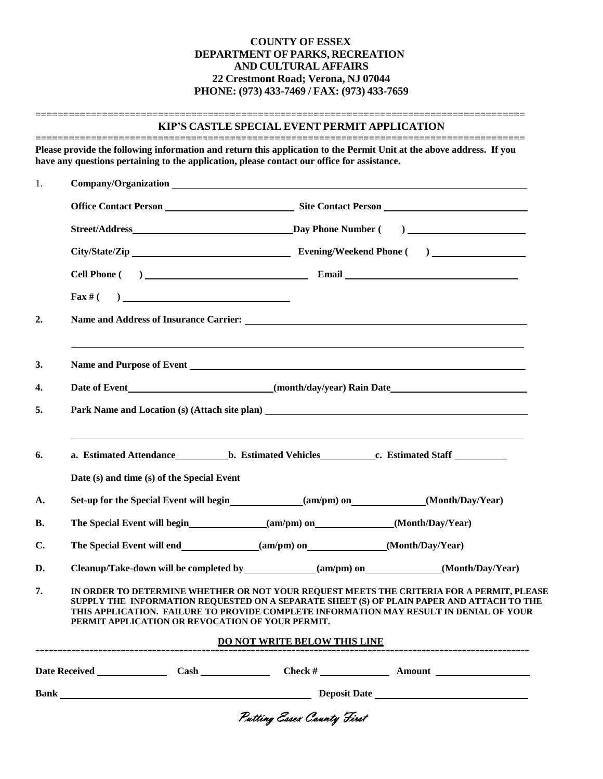### **COUNTY OF ESSEX DEPARTMENT OF PARKS, RECREATION AND CULTURAL AFFAIRS 22 Crestmont Road; Verona, NJ 07044 PHONE: (973) 433-7469 / FAX: (973) 433-7659**

#### **KIP'S CASTLE SPECIAL EVENT PERMIT APPLICATION**

**========================================================================================**

**======================================================================================== Please provide the following information and return this application to the Permit Unit at the above address. If you have any questions pertaining to the application, please contact our office for assistance.**

| 1.             |                                                  |                                                                                                                                                                                                                                                                                  |  |  |  |  |
|----------------|--------------------------------------------------|----------------------------------------------------------------------------------------------------------------------------------------------------------------------------------------------------------------------------------------------------------------------------------|--|--|--|--|
|                |                                                  |                                                                                                                                                                                                                                                                                  |  |  |  |  |
|                |                                                  |                                                                                                                                                                                                                                                                                  |  |  |  |  |
|                |                                                  |                                                                                                                                                                                                                                                                                  |  |  |  |  |
|                |                                                  |                                                                                                                                                                                                                                                                                  |  |  |  |  |
|                | $\text{Fax} \# ( )$                              |                                                                                                                                                                                                                                                                                  |  |  |  |  |
| 2.             |                                                  |                                                                                                                                                                                                                                                                                  |  |  |  |  |
| 3.             |                                                  | ,我们也不会有什么?""我们的人,我们也不会有什么?""我们的人,我们也不会有什么?""我们的人,我们也不会有什么?""我们的人,我们也不会有什么?""我们的人<br>Name and Purpose of Event 1999 and 200 million and 200 million and 200 million and 200 million and 200 million                                                                               |  |  |  |  |
| 4.             |                                                  |                                                                                                                                                                                                                                                                                  |  |  |  |  |
| 5.             |                                                  |                                                                                                                                                                                                                                                                                  |  |  |  |  |
| 6.             |                                                  | a. Estimated Attendance b. Estimated Vehicles c. Estimated Staff  c. Estimated Staff  c. Estimated Staff  a. Estimated Staff  a. Estimated Staff  a. Estimated Staff  a. Estimated Staff  a. Estimated Staff  a. Estimated Sta                                                   |  |  |  |  |
|                | Date (s) and time (s) of the Special Event       |                                                                                                                                                                                                                                                                                  |  |  |  |  |
| A.             |                                                  | Set-up for the Special Event will begin (am/pm) on (Month/Day/Year)                                                                                                                                                                                                              |  |  |  |  |
| <b>B.</b>      |                                                  |                                                                                                                                                                                                                                                                                  |  |  |  |  |
| $\mathbf{C}$ . |                                                  |                                                                                                                                                                                                                                                                                  |  |  |  |  |
| D.             |                                                  | Cleanup/Take-down will be completed by_____________(am/pm) on____________(Month/Day/Year)                                                                                                                                                                                        |  |  |  |  |
| 7.             | PERMIT APPLICATION OR REVOCATION OF YOUR PERMIT. | IN ORDER TO DETERMINE WHETHER OR NOT YOUR REQUEST MEETS THE CRITERIA FOR A PERMIT, PLEASE<br>SUPPLY THE INFORMATION REQUESTED ON A SEPARATE SHEET (S) OF PLAIN PAPER AND ATTACH TO THE<br>THIS APPLICATION. FAILURE TO PROVIDE COMPLETE INFORMATION MAY RESULT IN DENIAL OF YOUR |  |  |  |  |
|                |                                                  | <b>DO NOT WRITE BELOW THIS LINE</b>                                                                                                                                                                                                                                              |  |  |  |  |
|                | Date Received Cash                               | $Check # \_$<br><b>Amount</b>                                                                                                                                                                                                                                                    |  |  |  |  |
|                | Deposit Date<br><b>Bank Bank</b>                 |                                                                                                                                                                                                                                                                                  |  |  |  |  |
|                |                                                  | Putting Essex County First                                                                                                                                                                                                                                                       |  |  |  |  |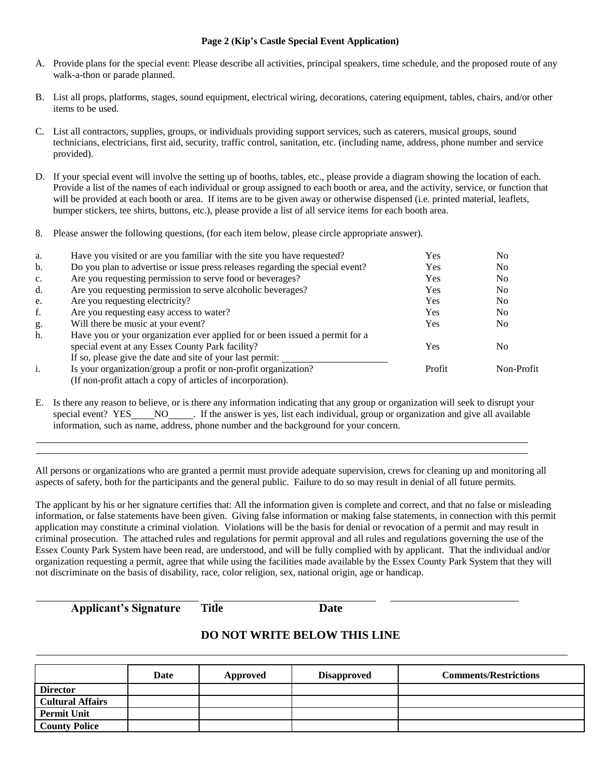#### **Page 2 (Kip's Castle Special Event Application)**

- A. Provide plans for the special event: Please describe all activities, principal speakers, time schedule, and the proposed route of any walk-a-thon or parade planned.
- B. List all props, platforms, stages, sound equipment, electrical wiring, decorations, catering equipment, tables, chairs, and/or other items to be used.
- C. List all contractors, supplies, groups, or individuals providing support services, such as caterers, musical groups, sound technicians, electricians, first aid, security, traffic control, sanitation, etc. (including name, address, phone number and service provided).
- D. If your special event will involve the setting up of booths, tables, etc., please provide a diagram showing the location of each. Provide a list of the names of each individual or group assigned to each booth or area, and the activity, service, or function that will be provided at each booth or area. If items are to be given away or otherwise dispensed (i.e. printed material, leaflets, bumper stickers, tee shirts, buttons, etc.), please provide a list of all service items for each booth area.
- 8. Please answer the following questions, (for each item below, please circle appropriate answer).

| a.             | Have you visited or are you familiar with the site you have requested?        | Yes        | N <sub>0</sub> |
|----------------|-------------------------------------------------------------------------------|------------|----------------|
| b.             | Do you plan to advertise or issue press releases regarding the special event? | <b>Yes</b> | No.            |
| $\mathbf{c}$ . | Are you requesting permission to serve food or beverages?                     | <b>Yes</b> | No.            |
| d.             | Are you requesting permission to serve alcoholic beverages?                   | Yes        | No.            |
| e.             | Are you requesting electricity?                                               | <b>Yes</b> | No.            |
| f.             | Are you requesting easy access to water?                                      | <b>Yes</b> | No.            |
| g.             | Will there be music at your event?                                            | <b>Yes</b> | No.            |
| h.             | Have you or your organization ever applied for or been issued a permit for a  |            |                |
|                | special event at any Essex County Park facility?                              | Yes        | No             |
|                | If so, please give the date and site of your last permit:                     |            |                |
| i.             | Is your organization/group a profit or non-profit organization?               | Profit     | Non-Profit     |
|                | (If non-profit attach a copy of articles of incorporation).                   |            |                |

E. Is there any reason to believe, or is there any information indicating that any group or organization will seek to disrupt your special event? YES NO . If the answer is yes, list each individual, group or organization and give all available information, such as name, address, phone number and the background for your concern.

All persons or organizations who are granted a permit must provide adequate supervision, crews for cleaning up and monitoring all aspects of safety, both for the participants and the general public. Failure to do so may result in denial of all future permits.

The applicant by his or her signature certifies that: All the information given is complete and correct, and that no false or misleading information, or false statements have been given. Giving false information or making false statements, in connection with this permit application may constitute a criminal violation. Violations will be the basis for denial or revocation of a permit and may result in criminal prosecution. The attached rules and regulations for permit approval and all rules and regulations governing the use of the Essex County Park System have been read, are understood, and will be fully complied with by applicant. That the individual and/or organization requesting a permit, agree that while using the facilities made available by the Essex County Park System that they will not discriminate on the basis of disability, race, color religion, sex, national origin, age or handicap.

**Applicant's Signature Title Date**

# **DO NOT WRITE BELOW THIS LINE**

|                         | Date | Approved | <b>Disapproved</b> | <b>Comments/Restrictions</b> |
|-------------------------|------|----------|--------------------|------------------------------|
| <b>Director</b>         |      |          |                    |                              |
| <b>Cultural Affairs</b> |      |          |                    |                              |
| <b>Permit Unit</b>      |      |          |                    |                              |
| <b>County Police</b>    |      |          |                    |                              |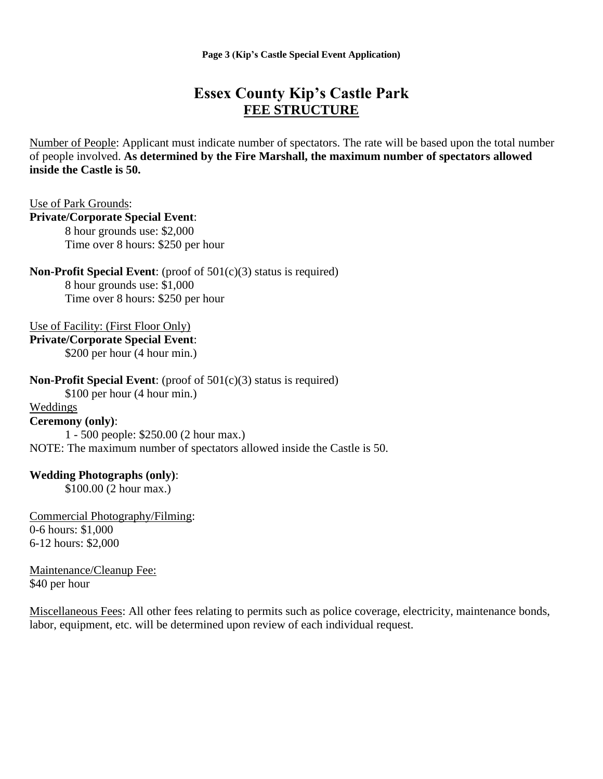**Page 3 (Kip's Castle Special Event Application)**

# **Essex County Kip's Castle Park FEE STRUCTURE**

Number of People: Applicant must indicate number of spectators. The rate will be based upon the total number of people involved. **As determined by the Fire Marshall, the maximum number of spectators allowed inside the Castle is 50.**

Use of Park Grounds:

# **Private/Corporate Special Event**:

8 hour grounds use: \$2,000 Time over 8 hours: \$250 per hour

**Non-Profit Special Event**: (proof of 501(c)(3) status is required) 8 hour grounds use: \$1,000

Time over 8 hours: \$250 per hour

Use of Facility: (First Floor Only)

**Private/Corporate Special Event**: \$200 per hour (4 hour min.)

**Non-Profit Special Event**: (proof of 501(c)(3) status is required)

\$100 per hour (4 hour min.)

# Weddings

# **Ceremony (only)**:

1 - 500 people: \$250.00 (2 hour max.) NOTE: The maximum number of spectators allowed inside the Castle is 50.

# **Wedding Photographs (only)**:

\$100.00 (2 hour max.)

Commercial Photography/Filming: 0-6 hours: \$1,000 6-12 hours: \$2,000

Maintenance/Cleanup Fee: \$40 per hour

Miscellaneous Fees: All other fees relating to permits such as police coverage, electricity, maintenance bonds, labor, equipment, etc. will be determined upon review of each individual request.